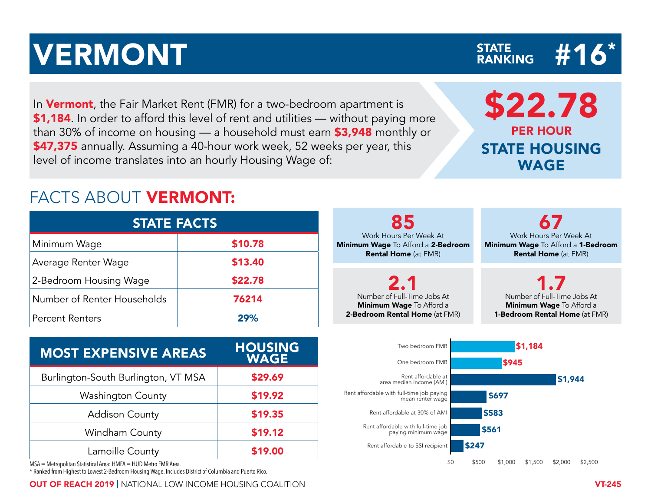# WERMONT STATE ANNIVERMONT

In **Vermont**, the Fair Market Rent (FMR) for a two-bedroom apartment is \$1,184. In order to afford this level of rent and utilities — without paying more than 30% of income on housing — a household must earn \$3,948 monthly or \$47,375 annually. Assuming a 40-hour work week, 52 weeks per year, this level of income translates into an hourly Housing Wage of:

### FACTS ABOUT VERMONT:

| <b>STATE FACTS</b>          |         |  |  |  |  |  |  |  |  |
|-----------------------------|---------|--|--|--|--|--|--|--|--|
| Minimum Wage                | \$10.78 |  |  |  |  |  |  |  |  |
| Average Renter Wage         | \$13.40 |  |  |  |  |  |  |  |  |
| 2-Bedroom Housing Wage      | \$22.78 |  |  |  |  |  |  |  |  |
| Number of Renter Households | 76214   |  |  |  |  |  |  |  |  |
| <b>Percent Renters</b>      | 29%     |  |  |  |  |  |  |  |  |

| <b>MOST EXPENSIVE AREAS</b>         | <b>HOUSING</b><br><b>WAGE</b> |  |  |  |  |
|-------------------------------------|-------------------------------|--|--|--|--|
| Burlington-South Burlington, VT MSA | \$29.69                       |  |  |  |  |
| <b>Washington County</b>            | \$19.92                       |  |  |  |  |
| <b>Addison County</b>               | \$19.35                       |  |  |  |  |
| <b>Windham County</b>               | \$19.12                       |  |  |  |  |
| Lamoille County                     | \$19.00                       |  |  |  |  |

MSA = Metropolitan Statistical Area: HMFA = HUD Metro FMR Area.

\* Ranked from Highest to Lowest 2-Bedroom Housing Wage. Includes District of Columbia and Puerto Rico.

OUT OF REACH 2019 | NATIONAL LOW INCOME HOUSING COALITION VT-245

85 Work Hours Per Week At Minimum Wage To Afford a 2-Bedroom Rental Home (at FMR) 67 Work Hours Per Week At Minimum Wage To Afford a 1-Bedroom Rental Home (at FMR) 2.1 Number of Full-Time Jobs At Minimum Wage To Afford a 2-Bedroom Rental Home (at FMR) 1.7 Number of Full-Time Jobs At Minimum Wage To Afford a 1-Bedroom Rental Home (at FMR) \$1,184 Two bedroom FMR EXPENSIVE AREAS HOUSING<br>
WAGE THE PROPUS WAGE STATE FACTS<br>
Wage 510.78 Minimum Wage To Afford a 28edroom Rental Home (at FMR)<br>
Minimum Wage 522.78 2.1<br>
Renter Households<br>
EXPENSIVE AREAS HOUSING<br>
WAGE THE PROPUS TO A REAS



\$22.78 PER HOUR STATE HOUSING WAGE

## STATE<br>RANKING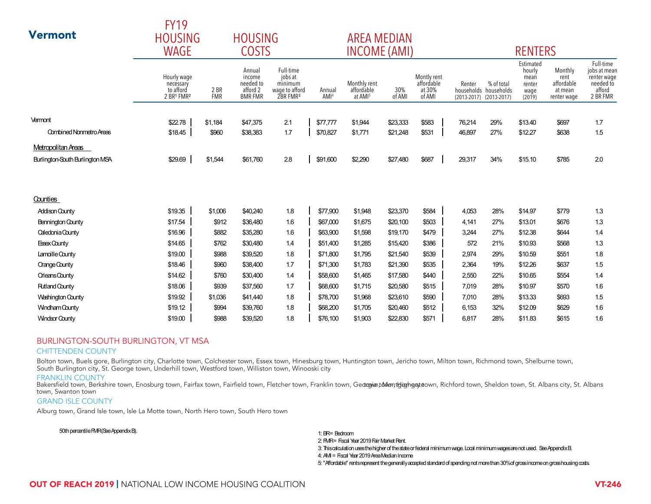|                                                                                                                                                                                                                                                                                                                                                                                                                                                                                                                                                                                                                                   | FIJY                                                |                    | <b>HOUSING</b>                                              |                                                                           |                            |                                                   |               |                                               |        |                                                                |                                                         |                                                         |                                                                             |
|-----------------------------------------------------------------------------------------------------------------------------------------------------------------------------------------------------------------------------------------------------------------------------------------------------------------------------------------------------------------------------------------------------------------------------------------------------------------------------------------------------------------------------------------------------------------------------------------------------------------------------------|-----------------------------------------------------|--------------------|-------------------------------------------------------------|---------------------------------------------------------------------------|----------------------------|---------------------------------------------------|---------------|-----------------------------------------------|--------|----------------------------------------------------------------|---------------------------------------------------------|---------------------------------------------------------|-----------------------------------------------------------------------------|
| <b>Vermont</b>                                                                                                                                                                                                                                                                                                                                                                                                                                                                                                                                                                                                                    | <b>HOUSING</b>                                      | <b>AREA MEDIAN</b> |                                                             |                                                                           |                            |                                                   |               |                                               |        |                                                                |                                                         |                                                         |                                                                             |
|                                                                                                                                                                                                                                                                                                                                                                                                                                                                                                                                                                                                                                   | <b>WAGE</b><br><b>COSTS</b>                         |                    |                                                             |                                                                           | <b>INCOME (AMI)</b>        |                                                   |               | <b>RENTERS</b>                                |        |                                                                |                                                         |                                                         |                                                                             |
|                                                                                                                                                                                                                                                                                                                                                                                                                                                                                                                                                                                                                                   | Hourly wage<br>necessary<br>to afford<br>2 BR1 FMR2 | 2 BR<br><b>FMR</b> | Annual<br>income<br>needed to<br>afford 2<br><b>BMR FMR</b> | Full-time<br>jobs at<br>minimum<br>wage to afford<br>2BR FMR <sup>3</sup> | Annual<br>AMI <sup>4</sup> | Monthly rent<br>affordable<br>at AMI <sup>5</sup> | 30%<br>of AMI | Montly rent<br>affordable<br>at 30%<br>of AMI | Renter | % of total<br>households households<br>(2013-2017) (2013-2017) | Estimated<br>hourly<br>mean<br>renter<br>wage<br>(2019) | Monthly<br>rent<br>affordable<br>at mean<br>renter wage | Full-time<br>jobs at mean<br>renter wage<br>needed to<br>afford<br>2 BR FMR |
| Vermont                                                                                                                                                                                                                                                                                                                                                                                                                                                                                                                                                                                                                           | \$22.78                                             | \$1,184            | \$47,375                                                    | 2.1                                                                       | \$77,777                   | \$1,944                                           | \$23,333      | \$583                                         | 76,214 | 29%                                                            | \$13.40                                                 | \$697                                                   | 1.7                                                                         |
| <b>Combined Nonmetro Areas</b>                                                                                                                                                                                                                                                                                                                                                                                                                                                                                                                                                                                                    | \$18.45                                             | \$960              | \$38,383                                                    | 1.7                                                                       | \$70,827                   | \$1,771                                           | \$21,248      | \$531                                         | 46,897 | 27%                                                            | \$12.27                                                 | \$638                                                   | 1.5                                                                         |
| Metropolitan Areas                                                                                                                                                                                                                                                                                                                                                                                                                                                                                                                                                                                                                |                                                     |                    |                                                             |                                                                           |                            |                                                   |               |                                               |        |                                                                |                                                         |                                                         |                                                                             |
| Burlington-South Burlington MSA                                                                                                                                                                                                                                                                                                                                                                                                                                                                                                                                                                                                   | \$29.69                                             | \$1,544            | \$61,760                                                    | 2.8                                                                       | \$91,600                   | \$2,290                                           | \$27,480      | \$687                                         | 29,317 | 34%                                                            | \$15.10                                                 | \$785                                                   | 2.0                                                                         |
|                                                                                                                                                                                                                                                                                                                                                                                                                                                                                                                                                                                                                                   |                                                     |                    |                                                             |                                                                           |                            |                                                   |               |                                               |        |                                                                |                                                         |                                                         |                                                                             |
| Counties                                                                                                                                                                                                                                                                                                                                                                                                                                                                                                                                                                                                                          |                                                     |                    |                                                             |                                                                           |                            |                                                   |               |                                               |        |                                                                |                                                         |                                                         |                                                                             |
| <b>Addison County</b>                                                                                                                                                                                                                                                                                                                                                                                                                                                                                                                                                                                                             | \$19.35                                             | \$1,006            | \$40,240                                                    | 1.8                                                                       | \$77,900                   | \$1,948                                           | \$23,370      | \$584                                         | 4,053  | 28%                                                            | \$14.97                                                 | \$779                                                   | 1.3                                                                         |
| Bennington County                                                                                                                                                                                                                                                                                                                                                                                                                                                                                                                                                                                                                 | \$17.54                                             | \$912              | \$36,480                                                    | 1.6                                                                       | \$67,000                   | \$1,675                                           | \$20,100      | \$503                                         | 4,141  | 27%                                                            | \$13.01                                                 | \$676                                                   | 1.3                                                                         |
| Caledonia County                                                                                                                                                                                                                                                                                                                                                                                                                                                                                                                                                                                                                  | \$16.96                                             | \$882              | \$35,280                                                    | 1.6                                                                       | \$63,900                   | \$1,598                                           | \$19,170      | \$479                                         | 3,244  | 27%                                                            | \$12.38                                                 | \$644                                                   | 1.4                                                                         |
| <b>Essex County</b>                                                                                                                                                                                                                                                                                                                                                                                                                                                                                                                                                                                                               | \$14.65                                             | \$762              | \$30,480                                                    | 1.4                                                                       | \$51,400                   | \$1,285                                           | \$15,420      | \$386                                         | 572    | 21%                                                            | \$10.93                                                 | \$568                                                   | 1.3                                                                         |
| Lamoille County                                                                                                                                                                                                                                                                                                                                                                                                                                                                                                                                                                                                                   | \$19.00                                             | \$988              | \$39,520                                                    | 1.8                                                                       | \$71,800                   | \$1,795                                           | \$21,540      | \$539                                         | 2,974  | 29%                                                            | \$10.59                                                 | \$551                                                   | 1.8                                                                         |
| <b>Crange County</b>                                                                                                                                                                                                                                                                                                                                                                                                                                                                                                                                                                                                              | \$18.46                                             | \$960              | \$38,400                                                    | 17                                                                        | \$71,300                   | \$1,783                                           | \$21,390      | \$535                                         | 2,364  | 19%                                                            | \$12.26                                                 | \$637                                                   | 1.5                                                                         |
| <b>Crleans County</b>                                                                                                                                                                                                                                                                                                                                                                                                                                                                                                                                                                                                             | \$14.62                                             | \$760              | \$30,400                                                    | 1.4                                                                       | \$58,600                   | \$1,465                                           | \$17,580      | \$440                                         | 2,550  | 22%                                                            | \$10.65                                                 | \$554                                                   | 1.4                                                                         |
| <b>Rutland County</b>                                                                                                                                                                                                                                                                                                                                                                                                                                                                                                                                                                                                             | \$18.06                                             | \$939              | \$37,560                                                    | 1.7                                                                       | \$68,600                   | \$1,715                                           | \$20,580      | \$515                                         | 7,019  | 28%                                                            | \$10.97                                                 | \$570                                                   | 1.6                                                                         |
| <b>Washington County</b>                                                                                                                                                                                                                                                                                                                                                                                                                                                                                                                                                                                                          | \$19.92                                             | \$1,036            | \$41,440                                                    | 1.8                                                                       | \$78,700                   | \$1,968                                           | \$23,610      | \$590                                         | 7,010  | 28%                                                            | \$13.33                                                 | \$693                                                   | 1.5                                                                         |
| <b>Windham County</b>                                                                                                                                                                                                                                                                                                                                                                                                                                                                                                                                                                                                             | \$19.12                                             | \$994              | \$39,760                                                    | 1.8                                                                       | \$68,200                   | \$1,705                                           | \$20,460      | \$512                                         | 6,153  | 32%                                                            | \$12.09                                                 | \$629                                                   | 1.6                                                                         |
| <b>Windsor County</b>                                                                                                                                                                                                                                                                                                                                                                                                                                                                                                                                                                                                             | \$19.00                                             | \$988              | \$39,520                                                    | 1.8                                                                       | \$76,100                   | \$1,903                                           | \$22,830      | \$571                                         | 6,817  | 28%                                                            | \$11.83                                                 | \$615                                                   | 1.6                                                                         |
| <b>BURLINGTON-SOUTH BURLINGTON, VT MSA</b><br><b>CHITTENDEN COUNTY</b><br>Bolton town, Buels gore, Burlington city, Charlotte town, Colchester town, Essex town, Hinesburg town, Huntington town, Jericho town, Milton town, Richmond town, Shelburne town,<br>South Burlington city, St. George town, Underhill town, Westford town, Williston town, Winooski city<br><b>FRANKLIN COUNTY</b><br>Bakersfield town, Berkshire town, Enosburg town, Fairfax town, Fairfield town, Fletcher town, Franklin town, Gedroyint Monted man at Monted town, Richford town, Sheldon town, St. Albans city, St. Albans<br>town, Swanton town |                                                     |                    |                                                             |                                                                           |                            |                                                   |               |                                               |        |                                                                |                                                         |                                                         |                                                                             |

#### BURLINGTON-SOUTH BURLINGTON, VT MSA

#### CHITTENDEN COUNTY

#### FRANKLIN COUNTY

Bakersfield town, Berkshire town, Enosburg town, Fairfax town, Fairfield town, Fletcher town, Franklin town, GedrayiantMont<del>g</del>iongate own, Richford town, Sheldon town, St. Albans city, St. Albans city, St. Albans city, St. town, Swanton town

#### GRAND ISLE COUNTY

Alburg town, Grand Isle town, Isle La Motte town, North Hero town, South Hero town

 $\Gamma$ V<sub>10</sub>

#### 50th percentile FMR (See Appendix B).

5: "Affordable" rents represent the generally accepted standard of spending not more than 30% of gross income on gross housing costs. 1: BR= Bedroom 3: This calculation uses the higher of the state or federal minimum wage. Local minimum wages are not used. See Appendix B. 4: AMI = Fiscal Year 2019 Area Median Income 2: FMR= Fiscal Year 2019 Fair Market Rent.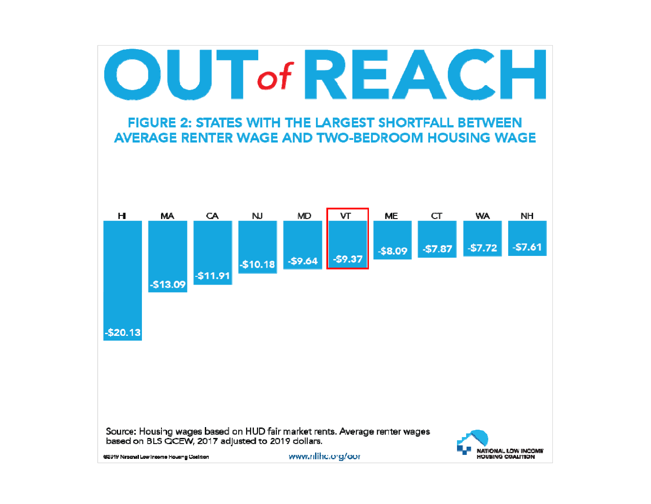